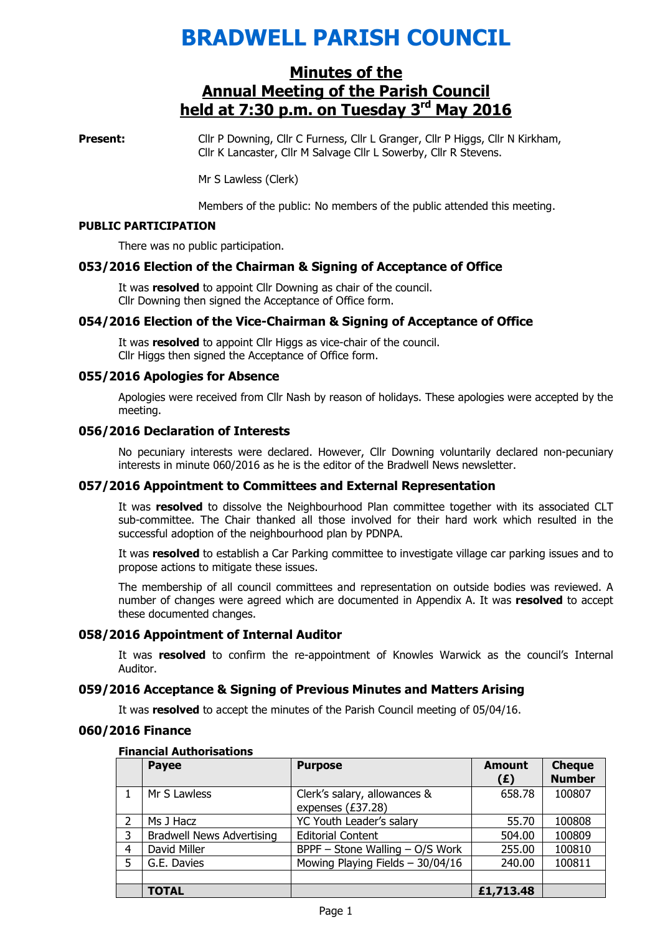# BRADWELL PARISH COUNCIL

## Minutes of the Annual Meeting of the Parish Council held at 7:30 p.m. on Tuesday 3<sup>rd</sup> May 2016

Present: Cllr P Downing, Cllr C Furness, Cllr L Granger, Cllr P Higgs, Cllr N Kirkham, Cllr K Lancaster, Cllr M Salvage Cllr L Sowerby, Cllr R Stevens.

Mr S Lawless (Clerk)

Members of the public: No members of the public attended this meeting.

#### PUBLIC PARTICIPATION

There was no public participation.

## 053/2016 Election of the Chairman & Signing of Acceptance of Office

It was resolved to appoint Cllr Downing as chair of the council. Cllr Downing then signed the Acceptance of Office form.

## 054/2016 Election of the Vice-Chairman & Signing of Acceptance of Office

It was resolved to appoint Cllr Higgs as vice-chair of the council. Cllr Higgs then signed the Acceptance of Office form.

## 055/2016 Apologies for Absence

 Apologies were received from Cllr Nash by reason of holidays. These apologies were accepted by the meeting.

## 056/2016 Declaration of Interests

No pecuniary interests were declared. However, Cllr Downing voluntarily declared non-pecuniary interests in minute 060/2016 as he is the editor of the Bradwell News newsletter.

## 057/2016 Appointment to Committees and External Representation

It was resolved to dissolve the Neighbourhood Plan committee together with its associated CLT sub-committee. The Chair thanked all those involved for their hard work which resulted in the successful adoption of the neighbourhood plan by PDNPA.

It was resolved to establish a Car Parking committee to investigate village car parking issues and to propose actions to mitigate these issues.

The membership of all council committees and representation on outside bodies was reviewed. A number of changes were agreed which are documented in Appendix A. It was resolved to accept these documented changes.

## 058/2016 Appointment of Internal Auditor

It was resolved to confirm the re-appointment of Knowles Warwick as the council's Internal Auditor.

## 059/2016 Acceptance & Signing of Previous Minutes and Matters Arising

It was resolved to accept the minutes of the Parish Council meeting of 05/04/16.

## 060/2016 Finance

#### Financial Authorisations

|   | <b>Payee</b>                     | <b>Purpose</b>                                    | <b>Amount</b><br>(E) | <b>Cheque</b><br><b>Number</b> |
|---|----------------------------------|---------------------------------------------------|----------------------|--------------------------------|
|   | Mr S Lawless                     | Clerk's salary, allowances &<br>expenses (£37.28) | 658.78               | 100807                         |
| 2 | Ms J Hacz                        | YC Youth Leader's salary                          | 55.70                | 100808                         |
| 3 | <b>Bradwell News Advertising</b> | <b>Editorial Content</b>                          | 504.00               | 100809                         |
| 4 | David Miller                     | BPPF - Stone Walling - O/S Work                   | 255.00               | 100810                         |
| 5 | G.E. Davies                      | Mowing Playing Fields - 30/04/16                  | 240.00               | 100811                         |
|   |                                  |                                                   |                      |                                |
|   | <b>TOTAL</b>                     |                                                   | £1,713.48            |                                |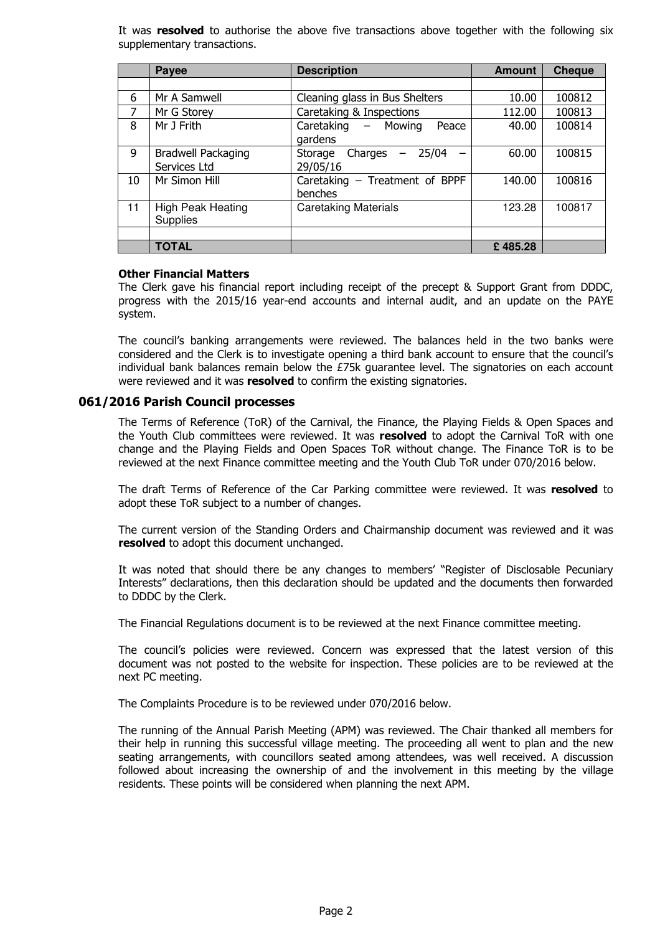It was resolved to authorise the above five transactions above together with the following six supplementary transactions.

|    | Payee                                     | <b>Description</b>                               | <b>Amount</b> | <b>Cheque</b> |
|----|-------------------------------------------|--------------------------------------------------|---------------|---------------|
|    |                                           |                                                  |               |               |
| 6  | Mr A Samwell                              | Cleaning glass in Bus Shelters                   | 10.00         | 100812        |
| 7  | Mr G Storey                               | Caretaking & Inspections                         | 112.00        | 100813        |
| 8  | Mr J Frith                                | Caretaking - Mowing<br>Peace<br>gardens          | 40.00         | 100814        |
| 9  | <b>Bradwell Packaging</b><br>Services Ltd | 25/04<br>Charges<br>Storage<br>$ \,$<br>29/05/16 | 60.00         | 100815        |
| 10 | Mr Simon Hill                             | Caretaking - Treatment of BPPF<br>benches        | 140.00        | 100816        |
| 11 | <b>High Peak Heating</b><br>Supplies      | <b>Caretaking Materials</b>                      | 123.28        | 100817        |
|    |                                           |                                                  |               |               |
|    | <b>TOTAL</b>                              |                                                  | £485.28       |               |

#### Other Financial Matters

The Clerk gave his financial report including receipt of the precept & Support Grant from DDDC, progress with the 2015/16 year-end accounts and internal audit, and an update on the PAYE system.

The council's banking arrangements were reviewed. The balances held in the two banks were considered and the Clerk is to investigate opening a third bank account to ensure that the council's individual bank balances remain below the £75k guarantee level. The signatories on each account were reviewed and it was resolved to confirm the existing signatories.

## 061/2016 Parish Council processes

The Terms of Reference (ToR) of the Carnival, the Finance, the Playing Fields & Open Spaces and the Youth Club committees were reviewed. It was resolved to adopt the Carnival ToR with one change and the Playing Fields and Open Spaces ToR without change. The Finance ToR is to be reviewed at the next Finance committee meeting and the Youth Club ToR under 070/2016 below.

The draft Terms of Reference of the Car Parking committee were reviewed. It was resolved to adopt these ToR subject to a number of changes.

The current version of the Standing Orders and Chairmanship document was reviewed and it was resolved to adopt this document unchanged.

It was noted that should there be any changes to members' "Register of Disclosable Pecuniary Interests" declarations, then this declaration should be updated and the documents then forwarded to DDDC by the Clerk.

The Financial Regulations document is to be reviewed at the next Finance committee meeting.

The council's policies were reviewed. Concern was expressed that the latest version of this document was not posted to the website for inspection. These policies are to be reviewed at the next PC meeting.

The Complaints Procedure is to be reviewed under 070/2016 below.

The running of the Annual Parish Meeting (APM) was reviewed. The Chair thanked all members for their help in running this successful village meeting. The proceeding all went to plan and the new seating arrangements, with councillors seated among attendees, was well received. A discussion followed about increasing the ownership of and the involvement in this meeting by the village residents. These points will be considered when planning the next APM.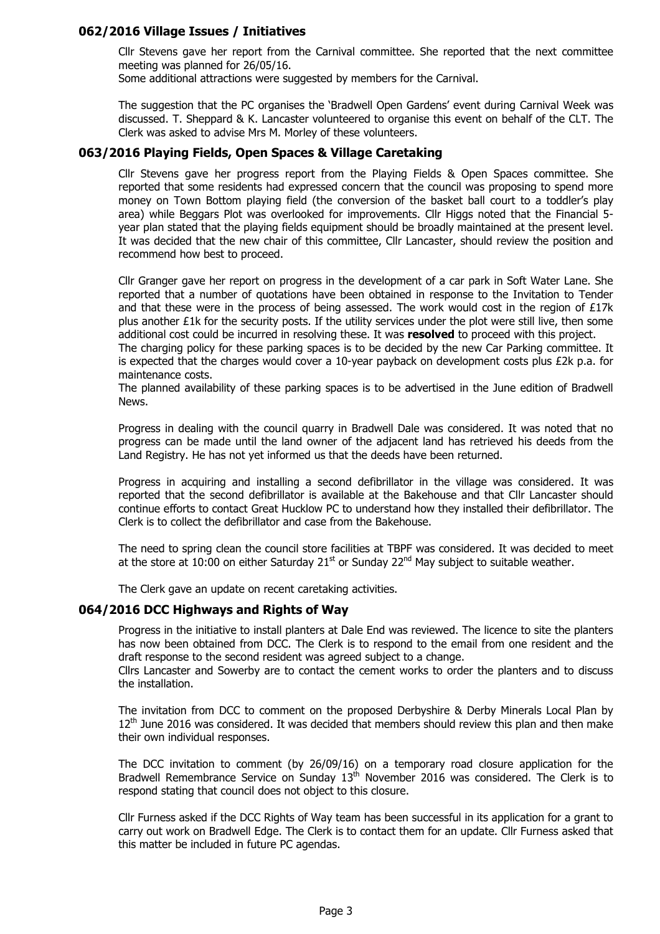## 062/2016 Village Issues / Initiatives

Cllr Stevens gave her report from the Carnival committee. She reported that the next committee meeting was planned for 26/05/16.

Some additional attractions were suggested by members for the Carnival.

The suggestion that the PC organises the 'Bradwell Open Gardens' event during Carnival Week was discussed. T. Sheppard & K. Lancaster volunteered to organise this event on behalf of the CLT. The Clerk was asked to advise Mrs M. Morley of these volunteers.

## 063/2016 Playing Fields, Open Spaces & Village Caretaking

Cllr Stevens gave her progress report from the Playing Fields & Open Spaces committee. She reported that some residents had expressed concern that the council was proposing to spend more money on Town Bottom playing field (the conversion of the basket ball court to a toddler's play area) while Beggars Plot was overlooked for improvements. Cllr Higgs noted that the Financial 5 year plan stated that the playing fields equipment should be broadly maintained at the present level. It was decided that the new chair of this committee, Cllr Lancaster, should review the position and recommend how best to proceed.

Cllr Granger gave her report on progress in the development of a car park in Soft Water Lane. She reported that a number of quotations have been obtained in response to the Invitation to Tender and that these were in the process of being assessed. The work would cost in the region of  $E17k$ plus another £1k for the security posts. If the utility services under the plot were still live, then some additional cost could be incurred in resolving these. It was resolved to proceed with this project.

The charging policy for these parking spaces is to be decided by the new Car Parking committee. It is expected that the charges would cover a 10-year payback on development costs plus £2k p.a. for maintenance costs.

The planned availability of these parking spaces is to be advertised in the June edition of Bradwell News.

Progress in dealing with the council quarry in Bradwell Dale was considered. It was noted that no progress can be made until the land owner of the adjacent land has retrieved his deeds from the Land Registry. He has not yet informed us that the deeds have been returned.

Progress in acquiring and installing a second defibrillator in the village was considered. It was reported that the second defibrillator is available at the Bakehouse and that Cllr Lancaster should continue efforts to contact Great Hucklow PC to understand how they installed their defibrillator. The Clerk is to collect the defibrillator and case from the Bakehouse.

The need to spring clean the council store facilities at TBPF was considered. It was decided to meet at the store at 10:00 on either Saturday  $21^{st}$  or Sunday  $22^{nd}$  May subject to suitable weather.

The Clerk gave an update on recent caretaking activities.

## 064/2016 DCC Highways and Rights of Way

Progress in the initiative to install planters at Dale End was reviewed. The licence to site the planters has now been obtained from DCC. The Clerk is to respond to the email from one resident and the draft response to the second resident was agreed subject to a change.

Cllrs Lancaster and Sowerby are to contact the cement works to order the planters and to discuss the installation.

The invitation from DCC to comment on the proposed Derbyshire & Derby Minerals Local Plan by  $12<sup>th</sup>$  June 2016 was considered. It was decided that members should review this plan and then make their own individual responses.

The DCC invitation to comment (by 26/09/16) on a temporary road closure application for the Bradwell Remembrance Service on Sunday  $13<sup>th</sup>$  November 2016 was considered. The Clerk is to respond stating that council does not object to this closure.

Cllr Furness asked if the DCC Rights of Way team has been successful in its application for a grant to carry out work on Bradwell Edge. The Clerk is to contact them for an update. Cllr Furness asked that this matter be included in future PC agendas.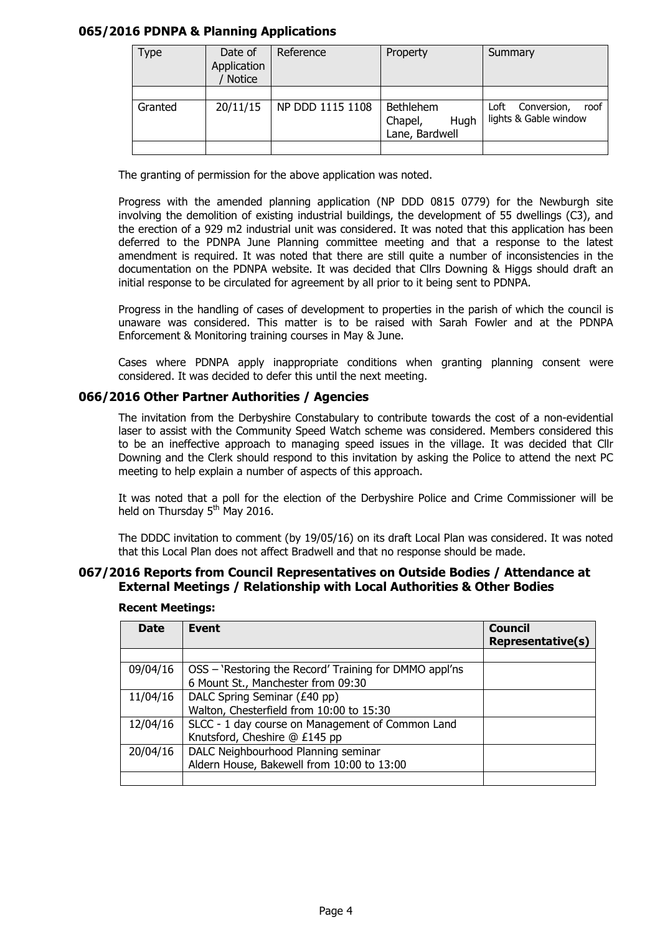## 065/2016 PDNPA & Planning Applications

| <b>Type</b> | Date of<br>Application<br><b>Notice</b> | Reference        | Property                                              | Summary                                              |  |  |  |
|-------------|-----------------------------------------|------------------|-------------------------------------------------------|------------------------------------------------------|--|--|--|
| Granted     | 20/11/15                                | NP DDD 1115 1108 | <b>Bethlehem</b><br>Chapel,<br>Hugh<br>Lane, Bardwell | Loft<br>Conversion,<br>roof<br>lights & Gable window |  |  |  |
|             |                                         |                  |                                                       |                                                      |  |  |  |

The granting of permission for the above application was noted.

Progress with the amended planning application (NP DDD 0815 0779) for the Newburgh site involving the demolition of existing industrial buildings, the development of 55 dwellings (C3), and the erection of a 929 m2 industrial unit was considered. It was noted that this application has been deferred to the PDNPA June Planning committee meeting and that a response to the latest amendment is required. It was noted that there are still quite a number of inconsistencies in the documentation on the PDNPA website. It was decided that Cllrs Downing & Higgs should draft an initial response to be circulated for agreement by all prior to it being sent to PDNPA.

Progress in the handling of cases of development to properties in the parish of which the council is unaware was considered. This matter is to be raised with Sarah Fowler and at the PDNPA Enforcement & Monitoring training courses in May & June.

Cases where PDNPA apply inappropriate conditions when granting planning consent were considered. It was decided to defer this until the next meeting.

## 066/2016 Other Partner Authorities / Agencies

The invitation from the Derbyshire Constabulary to contribute towards the cost of a non-evidential laser to assist with the Community Speed Watch scheme was considered. Members considered this to be an ineffective approach to managing speed issues in the village. It was decided that Cllr Downing and the Clerk should respond to this invitation by asking the Police to attend the next PC meeting to help explain a number of aspects of this approach.

It was noted that a poll for the election of the Derbyshire Police and Crime Commissioner will be held on Thursday 5<sup>th</sup> May 2016.

The DDDC invitation to comment (by 19/05/16) on its draft Local Plan was considered. It was noted that this Local Plan does not affect Bradwell and that no response should be made.

## 067/2016 Reports from Council Representatives on Outside Bodies / Attendance at External Meetings / Relationship with Local Authorities & Other Bodies

| <b>Date</b> | <b>Event</b>                                                                                 | <b>Council</b><br><b>Representative(s)</b> |
|-------------|----------------------------------------------------------------------------------------------|--------------------------------------------|
|             |                                                                                              |                                            |
| 09/04/16    | OSS – 'Restoring the Record' Training for DMMO appl'ns<br>6 Mount St., Manchester from 09:30 |                                            |
| 11/04/16    | DALC Spring Seminar (£40 pp)<br>Walton, Chesterfield from 10:00 to 15:30                     |                                            |
| 12/04/16    | SLCC - 1 day course on Management of Common Land<br>Knutsford, Cheshire @ £145 pp            |                                            |
| 20/04/16    | DALC Neighbourhood Planning seminar<br>Aldern House, Bakewell from 10:00 to 13:00            |                                            |
|             |                                                                                              |                                            |

#### Recent Meetings: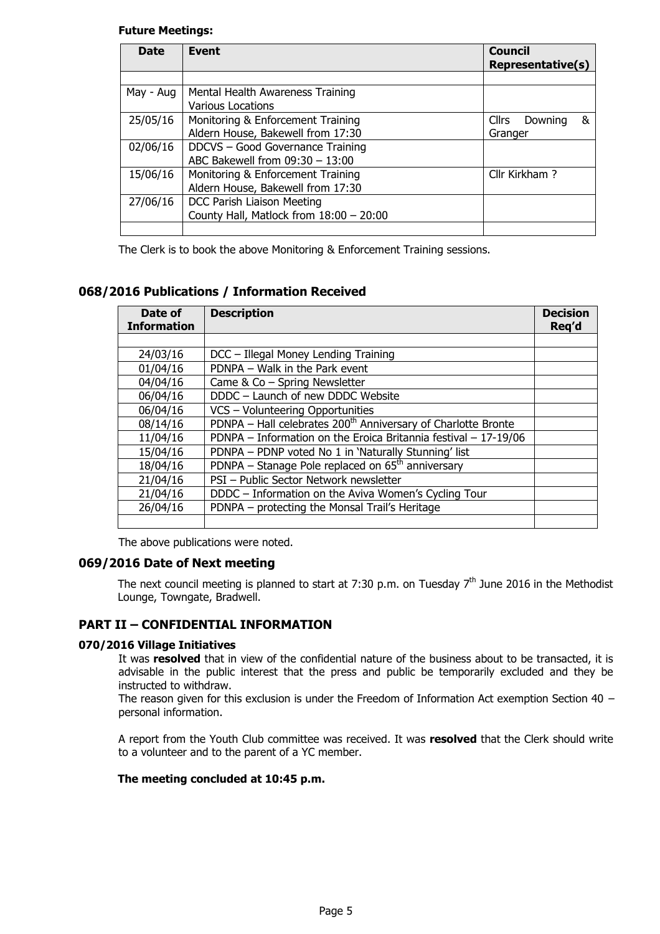## Future Meetings:

| <b>Date</b> | Event                                     | <b>Council</b><br><b>Representative(s)</b> |
|-------------|-------------------------------------------|--------------------------------------------|
|             |                                           |                                            |
| May - Aug   |                                           |                                            |
|             | <b>Various Locations</b>                  |                                            |
| 25/05/16    | Monitoring & Enforcement Training         | &<br><b>Cllrs</b><br>Downing               |
|             | Aldern House, Bakewell from 17:30         | Granger                                    |
| 02/06/16    | DDCVS - Good Governance Training          |                                            |
|             |                                           |                                            |
| 15/06/16    | Monitoring & Enforcement Training         | Cllr Kirkham?                              |
|             |                                           |                                            |
| 27/06/16    |                                           |                                            |
|             | County Hall, Matlock from $18:00 - 20:00$ |                                            |
|             |                                           |                                            |

The Clerk is to book the above Monitoring & Enforcement Training sessions.

## 068/2016 Publications / Information Received

| Date of<br><b>Information</b> | <b>Description</b>                                                        | <b>Decision</b><br>Req'd |
|-------------------------------|---------------------------------------------------------------------------|--------------------------|
|                               |                                                                           |                          |
| 24/03/16                      | DCC - Illegal Money Lending Training                                      |                          |
| 01/04/16                      | PDNPA - Walk in the Park event                                            |                          |
| 04/04/16                      | Came & Co - Spring Newsletter                                             |                          |
| 06/04/16                      | DDDC - Launch of new DDDC Website                                         |                          |
| 06/04/16                      | VCS - Volunteering Opportunities                                          |                          |
| 08/14/16                      | PDNPA - Hall celebrates 200 <sup>th</sup> Anniversary of Charlotte Bronte |                          |
| 11/04/16                      | PDNPA - Information on the Eroica Britannia festival - 17-19/06           |                          |
| 15/04/16                      | PDNPA - PDNP voted No 1 in 'Naturally Stunning' list                      |                          |
| 18/04/16                      | PDNPA – Stanage Pole replaced on $65th$ anniversary                       |                          |
| 21/04/16                      | PSI - Public Sector Network newsletter                                    |                          |
| 21/04/16                      | DDDC - Information on the Aviva Women's Cycling Tour                      |                          |
| 26/04/16                      | PDNPA - protecting the Monsal Trail's Heritage                            |                          |
|                               |                                                                           |                          |

The above publications were noted.

## 069/2016 Date of Next meeting

The next council meeting is planned to start at 7:30 p.m. on Tuesday  $7<sup>th</sup>$  June 2016 in the Methodist Lounge, Towngate, Bradwell.

## PART II – CONFIDENTIAL INFORMATION

## 070/2016 Village Initiatives

It was resolved that in view of the confidential nature of the business about to be transacted, it is advisable in the public interest that the press and public be temporarily excluded and they be instructed to withdraw.

The reason given for this exclusion is under the Freedom of Information Act exemption Section 40  $$ personal information.

A report from the Youth Club committee was received. It was resolved that the Clerk should write to a volunteer and to the parent of a YC member.

#### The meeting concluded at 10:45 p.m.